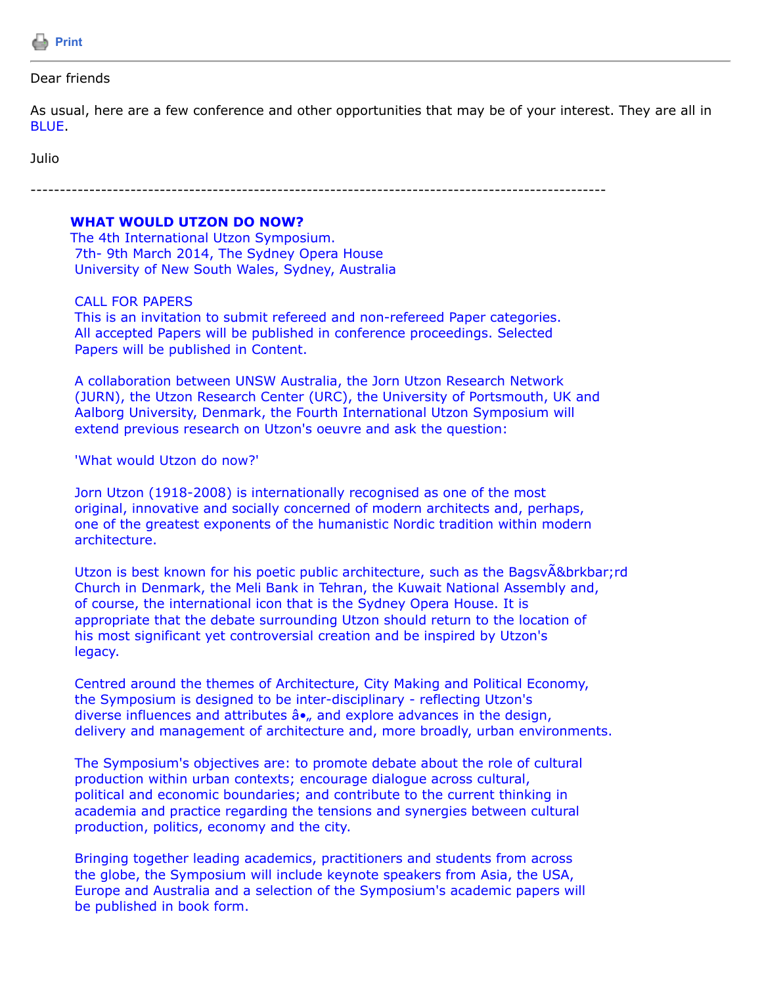

## Dear friends

As usual, here are a few conference and other opportunities that may be of your interest. They are all in BLUE.

Julio

--------------------------------------------------------------------------------------------------

## **WHAT WOULD UTZON DO NOW?**

The 4th International Utzon Symposium. 7th- 9th March 2014, The Sydney Opera House University of New South Wales, Sydney, Australia

## CALL FOR PAPERS

 This is an invitation to submit refereed and non-refereed Paper categories. All accepted Papers will be published in conference proceedings. Selected Papers will be published in Content.

 A collaboration between UNSW Australia, the Jorn Utzon Research Network (JURN), the Utzon Research Center (URC), the University of Portsmouth, UK and Aalborg University, Denmark, the Fourth International Utzon Symposium will extend previous research on Utzon's oeuvre and ask the question:

'What would Utzon do now?'

 Jorn Utzon (1918-2008) is internationally recognised as one of the most original, innovative and socially concerned of modern architects and, perhaps, one of the greatest exponents of the humanistic Nordic tradition within modern architecture.

 Utzon is best known for his poetic public architecture, such as the BagsvÃ&brkbar;rd Church in Denmark, the Meli Bank in Tehran, the Kuwait National Assembly and, of course, the international icon that is the Sydney Opera House. It is appropriate that the debate surrounding Utzon should return to the location of his most significant yet controversial creation and be inspired by Utzon's legacy.

 Centred around the themes of Architecture, City Making and Political Economy, the Symposium is designed to be inter-disciplinary - reflecting Utzon's diverse influences and attributes  $\hat{a}$ •, and explore advances in the design, delivery and management of architecture and, more broadly, urban environments.

 The Symposium's objectives are: to promote debate about the role of cultural production within urban contexts; encourage dialogue across cultural, political and economic boundaries; and contribute to the current thinking in academia and practice regarding the tensions and synergies between cultural production, politics, economy and the city.

 Bringing together leading academics, practitioners and students from across the globe, the Symposium will include keynote speakers from Asia, the USA, Europe and Australia and a selection of the Symposium's academic papers will be published in book form.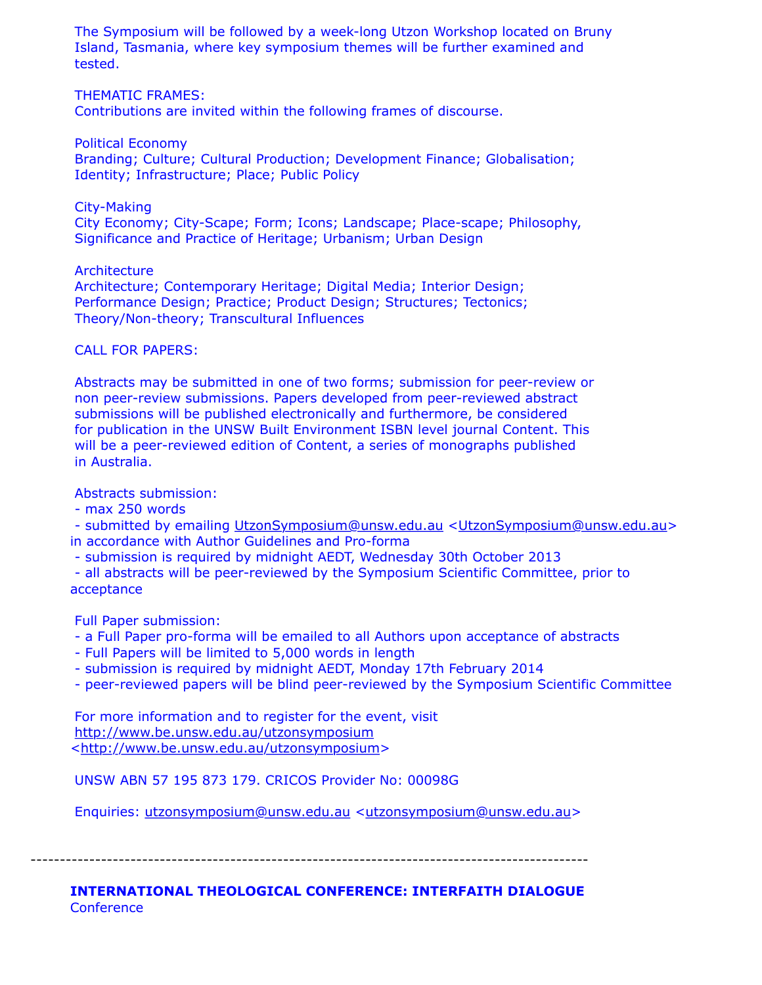The Symposium will be followed by a week-long Utzon Workshop located on Bruny Island, Tasmania, where key symposium themes will be further examined and tested.

THEMATIC FRAMES:

Contributions are invited within the following frames of discourse.

Political Economy

 Branding; Culture; Cultural Production; Development Finance; Globalisation; Identity; Infrastructure; Place; Public Policy

City-Making

 City Economy; City-Scape; Form; Icons; Landscape; Place-scape; Philosophy, Significance and Practice of Heritage; Urbanism; Urban Design

**Architecture** 

 Architecture; Contemporary Heritage; Digital Media; Interior Design; Performance Design; Practice; Product Design; Structures; Tectonics; Theory/Non-theory; Transcultural Influences

CALL FOR PAPERS:

 Abstracts may be submitted in one of two forms; submission for peer-review or non peer-review submissions. Papers developed from peer-reviewed abstract submissions will be published electronically and furthermore, be considered for publication in the UNSW Built Environment ISBN level journal Content. This will be a peer-reviewed edition of Content, a series of monographs published in Australia.

Abstracts submission:

- max 250 words

 - submitted by emailing [UtzonSymposium@unsw.edu.au](https://listserv.tamu.edu/cgi-bin/UtzonSymposium@unsw.edu.au) [<UtzonSymposium@unsw.edu.au](https://listserv.tamu.edu/cgi-bin/UtzonSymposium@unsw.edu.au)> in accordance with Author Guidelines and Pro-forma

- submission is required by midnight AEDT, Wednesday 30th October 2013

 - all abstracts will be peer-reviewed by the Symposium Scientific Committee, prior to acceptance

Full Paper submission:

- a Full Paper pro-forma will be emailed to all Authors upon acceptance of abstracts

- Full Papers will be limited to 5,000 words in length

- submission is required by midnight AEDT, Monday 17th February 2014

- peer-reviewed papers will be blind peer-reviewed by the Symposium Scientific Committee

 For more information and to register for the event, visit <http://www.be.unsw.edu.au/utzonsymposium> <<http://www.be.unsw.edu.au/utzonsymposium>>

UNSW ABN 57 195 873 179. CRICOS Provider No: 00098G

Enquiries: [utzonsymposium@unsw.edu.au](https://listserv.tamu.edu/cgi-bin/utzonsymposium@unsw.edu.au) <[utzonsymposium@unsw.edu.au](https://listserv.tamu.edu/cgi-bin/utzonsymposium@unsw.edu.au)>

-----------------------------------------------------------------------------------------------

**INTERNATIONAL THEOLOGICAL CONFERENCE: INTERFAITH DIALOGUE Conference**